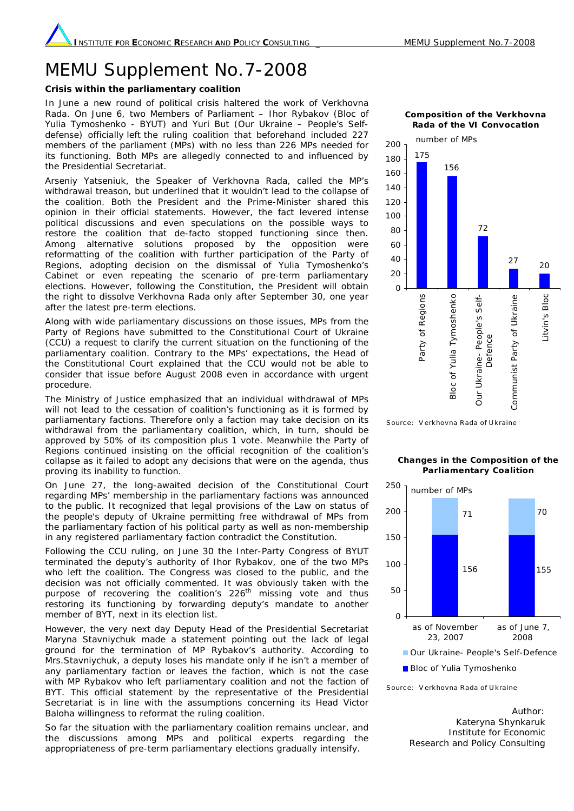## MEMU Supplement No.7-2008

## **Crisis within the parliamentary coalition**

In June a new round of political crisis haltered the work of Verkhovna Rada. On June 6, two Members of Parliament – Ihor Rybakov (Bloc of Yulia Tymoshenko - BYUT) and Yuri But (Our Ukraine – People's Selfdefense) officially left the ruling coalition that beforehand included 227 members of the parliament (MPs) with no less than 226 MPs needed for its functioning. Both MPs are allegedly connected to and influenced by the Presidential Secretariat.

Arseniy Yatseniuk, the Speaker of Verkhovna Rada, called the MP's withdrawal treason, but underlined that it wouldn't lead to the collapse of the coalition. Both the President and the Prime-Minister shared this opinion in their official statements. However, the fact levered intense political discussions and even speculations on the possible ways to restore the coalition that de-facto stopped functioning since then. Among alternative solutions proposed by the opposition were reformatting of the coalition with further participation of the Party of Regions, adopting decision on the dismissal of Yulia Tymoshenko's Cabinet or even repeating the scenario of pre-term parliamentary elections. However, following the Constitution, the President will obtain the right to dissolve Verkhovna Rada only after September 30, one year after the latest pre-term elections.

Along with wide parliamentary discussions on those issues, MPs from the Party of Regions have submitted to the Constitutional Court of Ukraine (CCU) a request to clarify the current situation on the functioning of the parliamentary coalition. Contrary to the MPs' expectations, the Head of the Constitutional Court explained that the CCU would not be able to consider that issue before August 2008 even in accordance with urgent procedure.

The Ministry of Justice emphasized that an individual withdrawal of MPs will not lead to the cessation of coalition's functioning as it is formed by parliamentary factions. Therefore only a faction may take decision on its withdrawal from the parliamentary coalition, which, in turn, should be approved by 50% of its composition plus 1 vote. Meanwhile the Party of Regions continued insisting on the official recognition of the coalition's collapse as it failed to adopt any decisions that were on the agenda, thus proving its inability to function.

On June 27, the long-awaited decision of the Constitutional Court regarding MPs' membership in the parliamentary factions was announced to the public. It recognized that legal provisions of the Law on status of the people's deputy of Ukraine permitting free withdrawal of MPs from the parliamentary faction of his political party as well as non-membership in any registered parliamentary faction contradict the Constitution.

Following the CCU ruling, on June 30 the Inter-Party Congress of BYUT terminated the deputy's authority of Ihor Rybakov, one of the two MPs who left the coalition. The Congress was closed to the public, and the decision was not officially commented. It was obviously taken with the purpose of recovering the coalition's 226<sup>th</sup> missing vote and thus restoring its functioning by forwarding deputy's mandate to another member of BYT, next in its election list.

However, the very next day Deputy Head of the Presidential Secretariat Maryna Stavniychuk made a statement pointing out the lack of legal ground for the termination of MP Rybakov's authority. According to Mrs.Stavniychuk, a deputy loses his mandate only if he isn't a member of any parliamentary faction or leaves the faction, which is not the case with MP Rybakov who left parliamentary coalition and not the faction of BYT. This official statement by the representative of the Presidential Secretariat is in line with the assumptions concerning its Head Victor Baloha willingness to reformat the ruling coalition.

So far the situation with the parliamentary coalition remains unclear, and the discussions among MPs and political experts regarding the appropriateness of pre-term parliamentary elections gradually intensify.

**Composition of the Verkhovna Rada of the VI Convocation**



Sourc e: V erkhovna Rada of U kraine

## **Changes in the Composition of the Parliamentary Coalition**



Sourc e: V erkhovna Rada of U kraine

Author: Kateryna Shynkaruk Institute for Economic Research and Policy Consulting